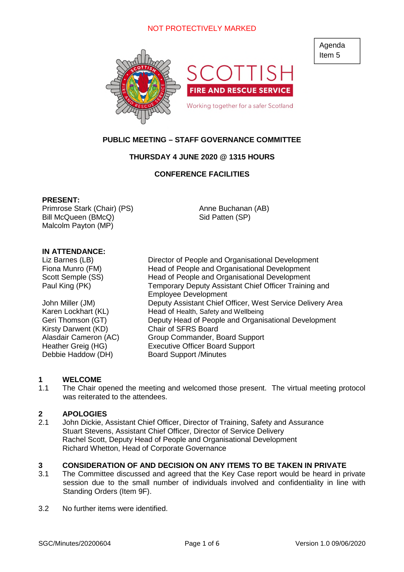

# **PUBLIC MEETING – STAFF GOVERNANCE COMMITTEE**

## **THURSDAY 4 JUNE 2020 @ 1315 HOURS**

## **CONFERENCE FACILITIES**

#### **PRESENT:**

Primrose Stark (Chair) (PS) Bill McQueen (BMcQ) Malcolm Payton (MP)

Anne Buchanan (AB) Sid Patten (SP)

#### **IN ATTENDANCE:**

Kirsty Darwent (KD) Chair of SFRS Board Debbie Haddow (DH) Board Support /Minutes

Liz Barnes (LB) Director of People and Organisational Development Fiona Munro (FM) Head of People and Organisational Development Scott Semple (SS) Head of People and Organisational Development Paul King (PK) Temporary Deputy Assistant Chief Officer Training and Employee Development John Miller (JM) Deputy Assistant Chief Officer, West Service Delivery Area Karen Lockhart (KL) Head of Health, Safety and Wellbeing Geri Thomson (GT) Deputy Head of People and Organisational Development Alasdair Cameron (AC) Group Commander, Board Support Heather Greig (HG) Executive Officer Board Support

#### **1 WELCOME**

1.1 The Chair opened the meeting and welcomed those present. The virtual meeting protocol was reiterated to the attendees.

#### **2 APOLOGIES**

2.1 John Dickie, Assistant Chief Officer, Director of Training, Safety and Assurance Stuart Stevens, Assistant Chief Officer, Director of Service Delivery Rachel Scott, Deputy Head of People and Organisational Development Richard Whetton, Head of Corporate Governance

## **3 CONSIDERATION OF AND DECISION ON ANY ITEMS TO BE TAKEN IN PRIVATE**

- 3.1 The Committee discussed and agreed that the Key Case report would be heard in private session due to the small number of individuals involved and confidentiality in line with Standing Orders (Item 9F).
- 3.2 No further items were identified.

Agenda Item 5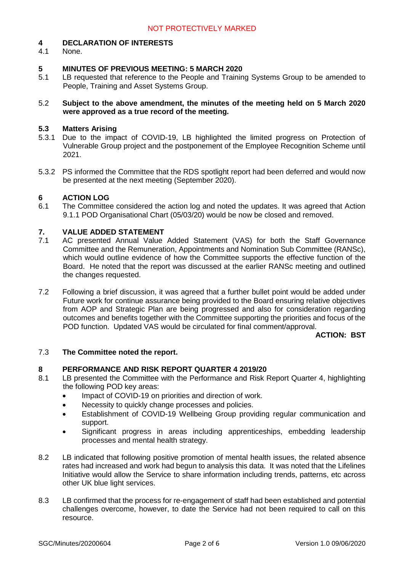# **4 DECLARATION OF INTERESTS**

None.

## **5 MINUTES OF PREVIOUS MEETING: 5 MARCH 2020**

- 5.1 LB requested that reference to the People and Training Systems Group to be amended to People, Training and Asset Systems Group.
- 5.2 **Subject to the above amendment, the minutes of the meeting held on 5 March 2020 were approved as a true record of the meeting.**

#### **5.3 Matters Arising**

- 5.3.1 Due to the impact of COVID-19, LB highlighted the limited progress on Protection of Vulnerable Group project and the postponement of the Employee Recognition Scheme until 2021.
- 5.3.2 PS informed the Committee that the RDS spotlight report had been deferred and would now be presented at the next meeting (September 2020).

## **6 ACTION LOG**

6.1 The Committee considered the action log and noted the updates. It was agreed that Action 9.1.1 POD Organisational Chart (05/03/20) would be now be closed and removed.

## **7. VALUE ADDED STATEMENT**

- 7.1 AC presented Annual Value Added Statement (VAS) for both the Staff Governance Committee and the Remuneration, Appointments and Nomination Sub Committee (RANSc), which would outline evidence of how the Committee supports the effective function of the Board. He noted that the report was discussed at the earlier RANSc meeting and outlined the changes requested.
- 7.2 Following a brief discussion, it was agreed that a further bullet point would be added under Future work for continue assurance being provided to the Board ensuring relative objectives from AOP and Strategic Plan are being progressed and also for consideration regarding outcomes and benefits together with the Committee supporting the priorities and focus of the POD function. Updated VAS would be circulated for final comment/approval.

#### **ACTION: BST**

#### 7.3 **The Committee noted the report.**

#### **8 PERFORMANCE AND RISK REPORT QUARTER 4 2019/20**

- 8.1 LB presented the Committee with the Performance and Risk Report Quarter 4, highlighting the following POD key areas:
	- Impact of COVID-19 on priorities and direction of work.
	- Necessity to quickly change processes and policies.
	- Establishment of COVID-19 Wellbeing Group providing regular communication and support.
	- Significant progress in areas including apprenticeships, embedding leadership processes and mental health strategy.
- 8.2 LB indicated that following positive promotion of mental health issues, the related absence rates had increased and work had begun to analysis this data. It was noted that the Lifelines Initiative would allow the Service to share information including trends, patterns, etc across other UK blue light services.
- 8.3 LB confirmed that the process for re-engagement of staff had been established and potential challenges overcome, however, to date the Service had not been required to call on this resource.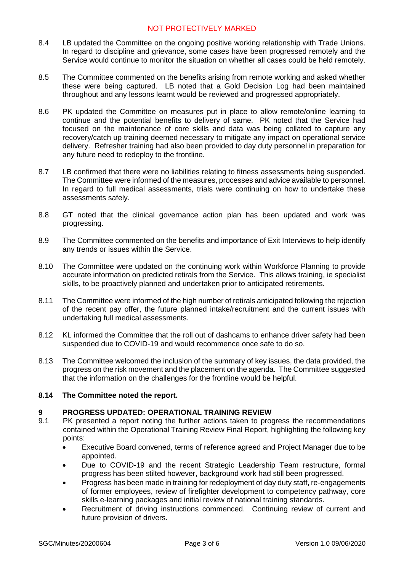- 8.4 LB updated the Committee on the ongoing positive working relationship with Trade Unions. In regard to discipline and grievance, some cases have been progressed remotely and the Service would continue to monitor the situation on whether all cases could be held remotely.
- 8.5 The Committee commented on the benefits arising from remote working and asked whether these were being captured. LB noted that a Gold Decision Log had been maintained throughout and any lessons learnt would be reviewed and progressed appropriately.
- 8.6 PK updated the Committee on measures put in place to allow remote/online learning to continue and the potential benefits to delivery of same. PK noted that the Service had focused on the maintenance of core skills and data was being collated to capture any recovery/catch up training deemed necessary to mitigate any impact on operational service delivery. Refresher training had also been provided to day duty personnel in preparation for any future need to redeploy to the frontline.
- 8.7 LB confirmed that there were no liabilities relating to fitness assessments being suspended. The Committee were informed of the measures, processes and advice available to personnel. In regard to full medical assessments, trials were continuing on how to undertake these assessments safely.
- 8.8 GT noted that the clinical governance action plan has been updated and work was progressing.
- 8.9 The Committee commented on the benefits and importance of Exit Interviews to help identify any trends or issues within the Service.
- 8.10 The Committee were updated on the continuing work within Workforce Planning to provide accurate information on predicted retirals from the Service. This allows training, ie specialist skills, to be proactively planned and undertaken prior to anticipated retirements.
- 8.11 The Committee were informed of the high number of retirals anticipated following the rejection of the recent pay offer, the future planned intake/recruitment and the current issues with undertaking full medical assessments.
- 8.12 KL informed the Committee that the roll out of dashcams to enhance driver safety had been suspended due to COVID-19 and would recommence once safe to do so.
- 8.13 The Committee welcomed the inclusion of the summary of key issues, the data provided, the progress on the risk movement and the placement on the agenda. The Committee suggested that the information on the challenges for the frontline would be helpful.

#### **8.14 The Committee noted the report.**

## **9 PROGRESS UPDATED: OPERATIONAL TRAINING REVIEW**

- 9.1 PK presented a report noting the further actions taken to progress the recommendations contained within the Operational Training Review Final Report, highlighting the following key points:
	- Executive Board convened, terms of reference agreed and Project Manager due to be appointed.
	- Due to COVID-19 and the recent Strategic Leadership Team restructure, formal progress has been stilted however, background work had still been progressed.
	- Progress has been made in training for redeployment of day duty staff, re-engagements of former employees, review of firefighter development to competency pathway, core skills e-learning packages and initial review of national training standards.
	- Recruitment of driving instructions commenced. Continuing review of current and future provision of drivers.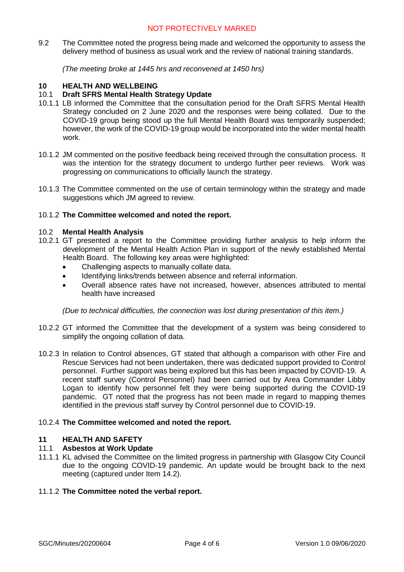9.2 The Committee noted the progress being made and welcomed the opportunity to assess the delivery method of business as usual work and the review of national training standards.

*(The meeting broke at 1445 hrs and reconvened at 1450 hrs)*

## **10 HEALTH AND WELLBEING**

## 10.1 **Draft SFRS Mental Health Strategy Update**

- 10.1.1 LB informed the Committee that the consultation period for the Draft SFRS Mental Health Strategy concluded on 2 June 2020 and the responses were being collated. Due to the COVID-19 group being stood up the full Mental Health Board was temporarily suspended; however, the work of the COVID-19 group would be incorporated into the wider mental health work.
- 10.1.2 JM commented on the positive feedback being received through the consultation process. It was the intention for the strategy document to undergo further peer reviews. Work was progressing on communications to officially launch the strategy.
- 10.1.3 The Committee commented on the use of certain terminology within the strategy and made suggestions which JM agreed to review.

#### 10.1.2 **The Committee welcomed and noted the report.**

#### 10.2 **Mental Health Analysis**

- 10.2.1 GT presented a report to the Committee providing further analysis to help inform the development of the Mental Health Action Plan in support of the newly established Mental Health Board. The following key areas were highlighted:
	- Challenging aspects to manually collate data.
	- Identifying links/trends between absence and referral information.
	- Overall absence rates have not increased, however, absences attributed to mental health have increased

*(Due to technical difficulties, the connection was lost during presentation of this item.)*

- 10.2.2 GT informed the Committee that the development of a system was being considered to simplify the ongoing collation of data.
- 10.2.3 In relation to Control absences, GT stated that although a comparison with other Fire and Rescue Services had not been undertaken, there was dedicated support provided to Control personnel. Further support was being explored but this has been impacted by COVID-19. A recent staff survey (Control Personnel) had been carried out by Area Commander Libby Logan to identify how personnel felt they were being supported during the COVID-19 pandemic. GT noted that the progress has not been made in regard to mapping themes identified in the previous staff survey by Control personnel due to COVID-19.

#### 10.2.4 **The Committee welcomed and noted the report.**

#### **11 HEALTH AND SAFETY**

#### 11.1 **Asbestos at Work Update**

11.1.1 KL advised the Committee on the limited progress in partnership with Glasgow City Council due to the ongoing COVID-19 pandemic. An update would be brought back to the next meeting (captured under Item 14.2).

#### 11.1.2 **The Committee noted the verbal report.**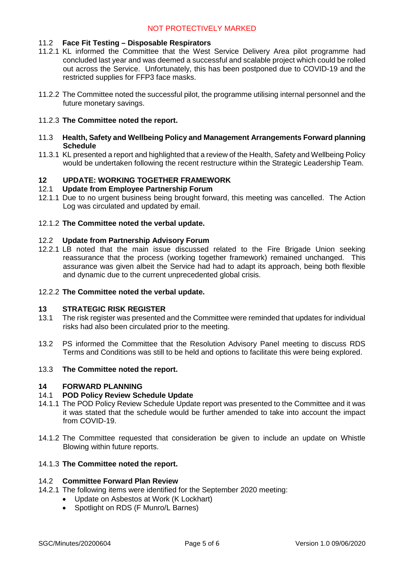#### 11.2 **Face Fit Testing – Disposable Respirators**

- 11.2.1 KL informed the Committee that the West Service Delivery Area pilot programme had concluded last year and was deemed a successful and scalable project which could be rolled out across the Service. Unfortunately, this has been postponed due to COVID-19 and the restricted supplies for FFP3 face masks.
- 11.2.2 The Committee noted the successful pilot, the programme utilising internal personnel and the future monetary savings.

## 11.2.3 **The Committee noted the report.**

- 11.3 **Health, Safety and Wellbeing Policy and Management Arrangements Forward planning Schedule**
- 11.3.1 KL presented a report and highlighted that a review of the Health, Safety and Wellbeing Policy would be undertaken following the recent restructure within the Strategic Leadership Team.

## **12 UPDATE: WORKING TOGETHER FRAMEWORK**

#### 12.1 **Update from Employee Partnership Forum**

12.1.1 Due to no urgent business being brought forward, this meeting was cancelled. The Action Log was circulated and updated by email.

#### 12.1.2 **The Committee noted the verbal update.**

#### 12.2 **Update from Partnership Advisory Forum**

12.2.1 LB noted that the main issue discussed related to the Fire Brigade Union seeking reassurance that the process (working together framework) remained unchanged. This assurance was given albeit the Service had had to adapt its approach, being both flexible and dynamic due to the current unprecedented global crisis.

#### 12.2.2 **The Committee noted the verbal update.**

#### **13 STRATEGIC RISK REGISTER**

- 13.1 The risk register was presented and the Committee were reminded that updates for individual risks had also been circulated prior to the meeting.
- 13.2 PS informed the Committee that the Resolution Advisory Panel meeting to discuss RDS Terms and Conditions was still to be held and options to facilitate this were being explored.

#### 13.3 **The Committee noted the report.**

#### **14 FORWARD PLANNING**

#### 14.1 **POD Policy Review Schedule Update**

- 14.1.1 The POD Policy Review Schedule Update report was presented to the Committee and it was it was stated that the schedule would be further amended to take into account the impact from COVID-19.
- 14.1.2 The Committee requested that consideration be given to include an update on Whistle Blowing within future reports.

## 14.1.3 **The Committee noted the report.**

## 14.2 **Committee Forward Plan Review**

- 14.2.1 The following items were identified for the September 2020 meeting:
	- Update on Asbestos at Work (K Lockhart)
	- Spotlight on RDS (F Munro/L Barnes)